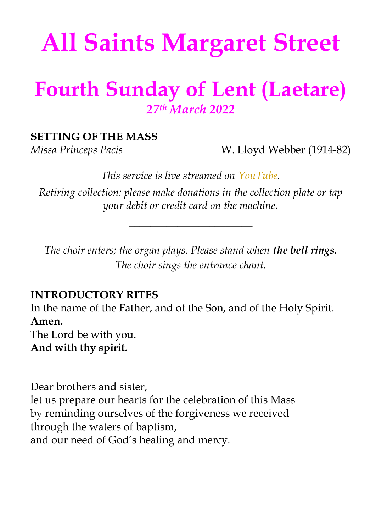# **All Saints Margaret Street**

**\_\_\_\_\_\_\_\_\_\_\_\_\_\_\_\_\_\_\_\_\_\_\_\_\_\_\_\_\_\_\_\_\_\_\_\_\_\_\_\_\_\_\_\_\_\_\_\_\_\_\_**

## **Fourth Sunday of Lent (Laetare)** *27 th March 2022*

### **SETTING OF THE MASS**

*Missa Princeps Pacis* W. Lloyd Webber (1914-82)

*This service is live streamed on [YouTube.](https://youtu.be/yRYdTxdDq0g)*

*Retiring collection: please make donations in the collection plate or tap your debit or credit card on the machine.*

*\_\_\_\_\_\_\_\_\_\_\_\_\_\_\_\_\_\_\_\_\_\_\_*

*The choir enters; the organ plays. Please stand when the bell rings. The choir sings the entrance chant.*

### **INTRODUCTORY RITES**

In the name of the Father, and of the Son, and of the Holy Spirit. **Amen.** The Lord be with you. **And with thy spirit.**

Dear brothers and sister, let us prepare our hearts for the celebration of this Mass by reminding ourselves of the forgiveness we received through the waters of baptism, and our need of God's healing and mercy.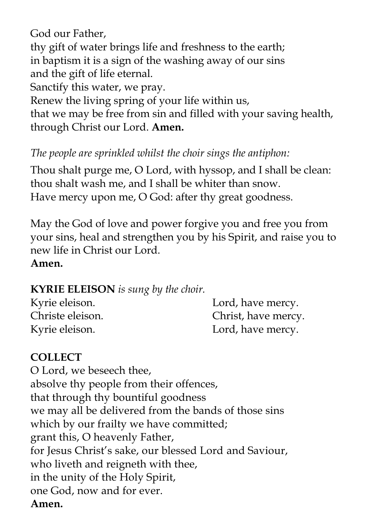God our Father,

thy gift of water brings life and freshness to the earth; in baptism it is a sign of the washing away of our sins and the gift of life eternal.

Sanctify this water, we pray.

Renew the living spring of your life within us,

that we may be free from sin and filled with your saving health, through Christ our Lord. **Amen.**

*The people are sprinkled whilst the choir sings the antiphon:*

Thou shalt purge me, O Lord, with hyssop, and I shall be clean: thou shalt wash me, and I shall be whiter than snow. Have mercy upon me, O God: after thy great goodness.

May the God of love and power forgive you and free you from your sins, heal and strengthen you by his Spirit, and raise you to new life in Christ our Lord. **Amen.**

### **KYRIE ELEISON** *is sung by the choir.*

| Kyrie eleison.   | Lord, have mercy.   |
|------------------|---------------------|
| Christe eleison. | Christ, have mercy. |
| Kyrie eleison.   | Lord, have mercy.   |

### **COLLECT**

O Lord, we beseech thee, absolve thy people from their offences, that through thy bountiful goodness we may all be delivered from the bands of those sins which by our frailty we have committed; grant this, O heavenly Father, for Jesus Christ's sake, our blessed Lord and Saviour, who liveth and reigneth with thee, in the unity of the Holy Spirit, one God, now and for ever. **Amen.**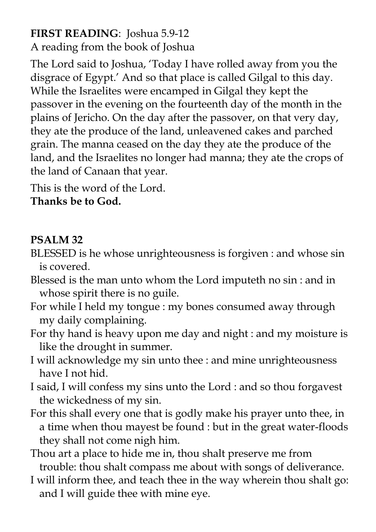### **FIRST READING**: Joshua 5.9-12

A reading from the book of Joshua

The Lord said to Joshua, 'Today I have rolled away from you the disgrace of Egypt.' And so that place is called Gilgal to this day. While the Israelites were encamped in Gilgal they kept the passover in the evening on the fourteenth day of the month in the plains of Jericho. On the day after the passover, on that very day, they ate the produce of the land, unleavened cakes and parched grain. The manna ceased on the day they ate the produce of the land, and the Israelites no longer had manna; they ate the crops of the land of Canaan that year.

This is the word of the Lord. **Thanks be to God.**

### **PSALM 32**

- BLESSED is he whose unrighteousness is forgiven : and whose sin is covered.
- Blessed is the man unto whom the Lord imputeth no sin : and in whose spirit there is no guile.
- For while I held my tongue : my bones consumed away through my daily complaining.
- For thy hand is heavy upon me day and night : and my moisture is like the drought in summer.
- I will acknowledge my sin unto thee : and mine unrighteousness have I not hid.
- I said, I will confess my sins unto the Lord : and so thou forgavest the wickedness of my sin.
- For this shall every one that is godly make his prayer unto thee, in a time when thou mayest be found : but in the great water-floods they shall not come nigh him.
- Thou art a place to hide me in, thou shalt preserve me from trouble: thou shalt compass me about with songs of deliverance.
- I will inform thee, and teach thee in the way wherein thou shalt go: and I will guide thee with mine eye.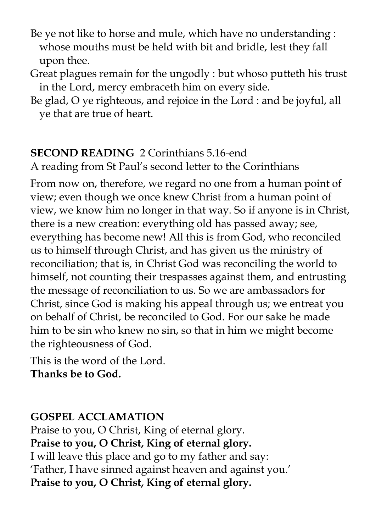- Be ye not like to horse and mule, which have no understanding : whose mouths must be held with bit and bridle, lest they fall upon thee.
- Great plagues remain for the ungodly : but whoso putteth his trust in the Lord, mercy embraceth him on every side.
- Be glad, O ye righteous, and rejoice in the Lord : and be joyful, all ye that are true of heart.

### **SECOND READING** 2 Corinthians 5.16-end

A reading from St Paul's second letter to the Corinthians

From now on, therefore, we regard no one from a human point of view; even though we once knew Christ from a human point of view, we know him no longer in that way. So if anyone is in Christ, there is a new creation: everything old has passed away; see, everything has become new! All this is from God, who reconciled us to himself through Christ, and has given us the ministry of reconciliation; that is, in Christ God was reconciling the world to himself, not counting their trespasses against them, and entrusting the message of reconciliation to us. So we are ambassadors for Christ, since God is making his appeal through us; we entreat you on behalf of Christ, be reconciled to God. For our sake he made him to be sin who knew no sin, so that in him we might become the righteousness of God.

This is the word of the Lord. **Thanks be to God.** 

### **GOSPEL ACCLAMATION**

Praise to you, O Christ, King of eternal glory. **Praise to you, O Christ, King of eternal glory.** I will leave this place and go to my father and say: 'Father, I have sinned against heaven and against you.' **Praise to you, O Christ, King of eternal glory.**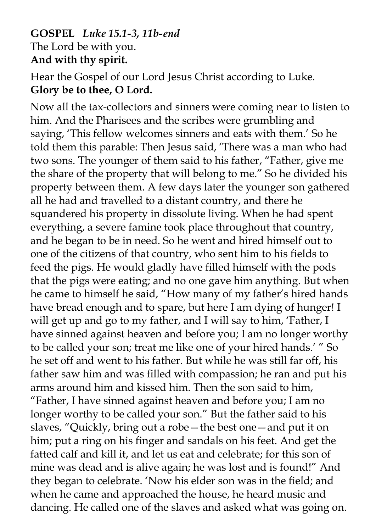### **GOSPEL** *Luke 15.1-3, 11b-end* The Lord be with you. **And with thy spirit.**

### Hear the Gospel of our Lord Jesus Christ according to Luke. **Glory be to thee, O Lord.**

Now all the tax-collectors and sinners were coming near to listen to him. And the Pharisees and the scribes were grumbling and saying, 'This fellow welcomes sinners and eats with them.' So he told them this parable: Then Jesus said, 'There was a man who had two sons. The younger of them said to his father, "Father, give me the share of the property that will belong to me." So he divided his property between them. A few days later the younger son gathered all he had and travelled to a distant country, and there he squandered his property in dissolute living. When he had spent everything, a severe famine took place throughout that country, and he began to be in need. So he went and hired himself out to one of the citizens of that country, who sent him to his fields to feed the pigs. He would gladly have filled himself with the pods that the pigs were eating; and no one gave him anything. But when he came to himself he said, "How many of my father's hired hands have bread enough and to spare, but here I am dying of hunger! I will get up and go to my father, and I will say to him, 'Father, I have sinned against heaven and before you; I am no longer worthy to be called your son; treat me like one of your hired hands.' " So he set off and went to his father. But while he was still far off, his father saw him and was filled with compassion; he ran and put his arms around him and kissed him. Then the son said to him, "Father, I have sinned against heaven and before you; I am no longer worthy to be called your son." But the father said to his slaves, "Quickly, bring out a robe—the best one—and put it on him; put a ring on his finger and sandals on his feet. And get the fatted calf and kill it, and let us eat and celebrate; for this son of mine was dead and is alive again; he was lost and is found!" And they began to celebrate. 'Now his elder son was in the field; and when he came and approached the house, he heard music and dancing. He called one of the slaves and asked what was going on.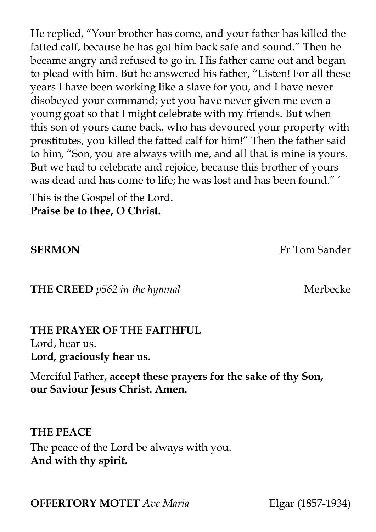He replied, "Your brother has come, and your father has killed the fatted calf, because he has got him back safe and sound." Then he became angry and refused to go in. His father came out and began to plead with him. But he answered his father, "Listen! For all these years I have been working like a slave for you, and I have never disobeyed your command; yet you have never given me even a young goat so that I might celebrate with my friends. But when this son of yours came back, who has devoured your property with prostitutes, you killed the fatted calf for him!" Then the father said to him, "Son, you are always with me, and all that is mine is yours. But we had to celebrate and rejoice, because this brother of yours was dead and has come to life; he was lost and has been found." '

This is the Gospel of the Lord. **Praise be to thee, O Christ.** 

**SERMON** Fr Tom Sander

**THE CREED** *p562 in the hymnal* Merbecke

### **THE PRAYER OF THE FAITHFUL**

Lord, hear us. **Lord, graciously hear us.**

Merciful Father, **accept these prayers for the sake of thy Son, our Saviour Jesus Christ. Amen.**

**THE PEACE** The peace of the Lord be always with you. **And with thy spirit.** 

**OFFERTORY MOTET** *Ave Maria* Elgar (1857-1934)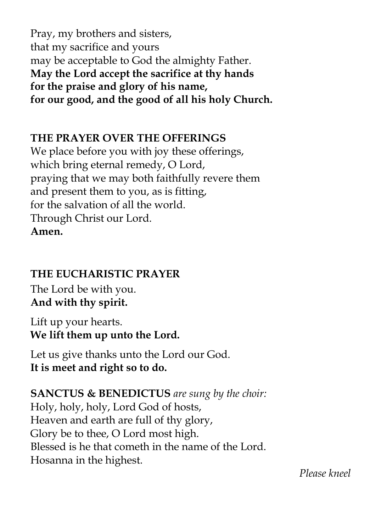Pray, my brothers and sisters, that my sacrifice and yours may be acceptable to God the almighty Father. **May the Lord accept the sacrifice at thy hands for the praise and glory of his name, for our good, and the good of all his holy Church.** 

### **THE PRAYER OVER THE OFFERINGS**

We place before you with joy these offerings, which bring eternal remedy, O Lord, praying that we may both faithfully revere them and present them to you, as is fitting, for the salvation of all the world. Through Christ our Lord. **Amen.**

### **THE EUCHARISTIC PRAYER**

The Lord be with you. **And with thy spirit.** 

Lift up your hearts. **We lift them up unto the Lord.** 

Let us give thanks unto the Lord our God. **It is meet and right so to do.** 

**SANCTUS & BENEDICTUS** *are sung by the choir:*  Holy, holy, holy, Lord God of hosts, Heaven and earth are full of thy glory, Glory be to thee, O Lord most high. Blessed is he that cometh in the name of the Lord. Hosanna in the highest.

 *Please kneel*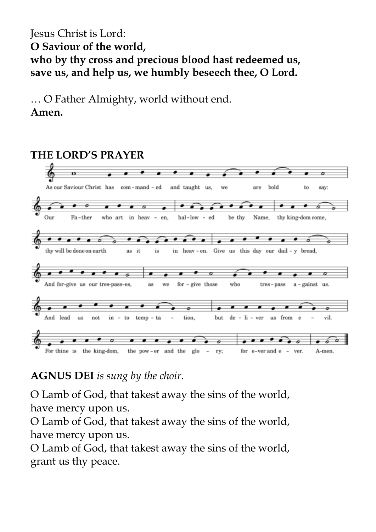Jesus Christ is Lord: **O Saviour of the world, who by thy cross and precious blood hast redeemed us, save us, and help us, we humbly beseech thee, O Lord.**

… O Father Almighty, world without end. **Amen.**

### **THE LORD'S PRAYER** n As our Saviour Christ has com-mand-ed and taught us. bold **WA**  $8r\rho$ to say: Our Fa-ther who art in heav - en, hal-low - ed be thy Name, thy king-dom come, ó ó ō thy will be done on earth in heav-en. Give us this day our dail-y bread, as it is  $\sigma$ And for-give us our tres-pass-es, as we for  $-$  give those who tres-pass  $a$  - gainst us.  $\bullet$ And lead  $\overline{u}$ s not in to  $temp - ta$ tion. but  $d$ e  $\mathrm{li}$  -  $\mathrm{ver}$ us from Á vil. For thine is the king-dom, the pow-er and the glo ry; for e-ver and e - ver. A-men.

### **AGNUS DEI** *is sung by the choir.*

O Lamb of God, that takest away the sins of the world, have mercy upon us.

O Lamb of God, that takest away the sins of the world, have mercy upon us.

O Lamb of God, that takest away the sins of the world, grant us thy peace.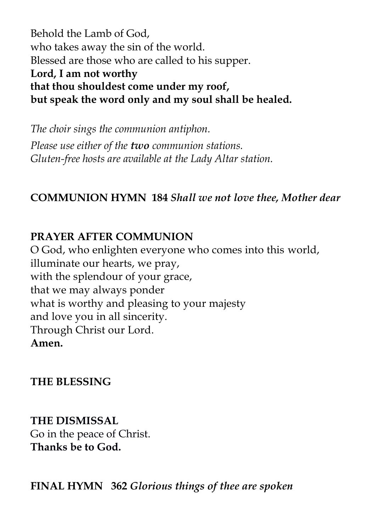Behold the Lamb of God, who takes away the sin of the world. Blessed are those who are called to his supper. **Lord, I am not worthy that thou shouldest come under my roof, but speak the word only and my soul shall be healed.**

*The choir sings the communion antiphon. Please use either of the two communion stations. Gluten-free hosts are available at the Lady Altar station.*

### **COMMUNION HYMN 184** *Shall we not love thee, Mother dear*

### **PRAYER AFTER COMMUNION**

O God, who enlighten everyone who comes into this world, illuminate our hearts, we pray, with the splendour of your grace, that we may always ponder what is worthy and pleasing to your majesty and love you in all sincerity. Through Christ our Lord. **Amen.**

### **THE BLESSING**

**THE DISMISSAL**  Go in the peace of Christ. **Thanks be to God.**

**FINAL HYMN 362** *Glorious things of thee are spoken*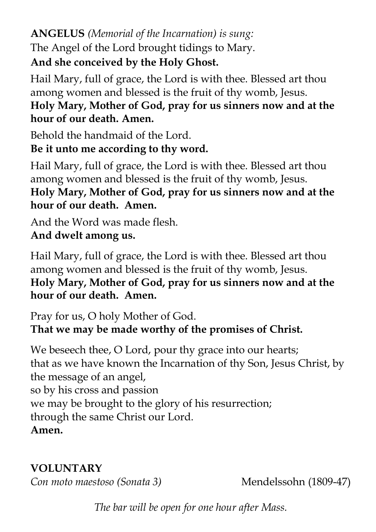**ANGELUS** *(Memorial of the Incarnation) is sung:* The Angel of the Lord brought tidings to Mary. **And she conceived by the Holy Ghost.**

Hail Mary, full of grace, the Lord is with thee. Blessed art thou among women and blessed is the fruit of thy womb, Jesus. **Holy Mary, Mother of God, pray for us sinners now and at the hour of our death. Amen.**

Behold the handmaid of the Lord.

**Be it unto me according to thy word.**

Hail Mary, full of grace, the Lord is with thee. Blessed art thou among women and blessed is the fruit of thy womb, Jesus. **Holy Mary, Mother of God, pray for us sinners now and at the hour of our death. Amen.**

And the Word was made flesh. **And dwelt among us.**

Hail Mary, full of grace, the Lord is with thee. Blessed art thou among women and blessed is the fruit of thy womb, Jesus. **Holy Mary, Mother of God, pray for us sinners now and at the hour of our death. Amen.**

Pray for us, O holy Mother of God. **That we may be made worthy of the promises of Christ.**

We beseech thee, O Lord, pour thy grace into our hearts; that as we have known the Incarnation of thy Son, Jesus Christ, by the message of an angel, so by his cross and passion we may be brought to the glory of his resurrection; through the same Christ our Lord. **Amen.**

### **VOLUNTARY**

*Con moto maestoso (Sonata 3)* Mendelssohn (1809-47)

*The bar will be open for one hour after Mass.*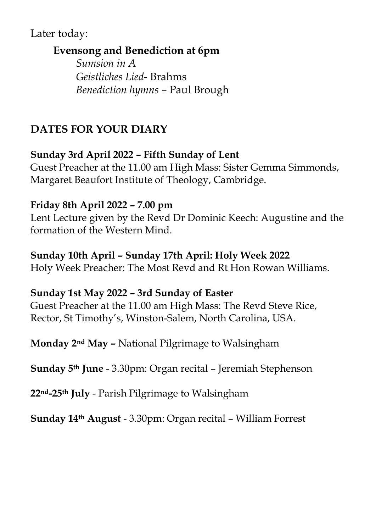### Later today:

### **Evensong and Benediction at 6pm**

*Sumsion in A Geistliches Lied*- Brahms *Benediction hymns* – Paul Brough

### **DATES FOR YOUR DIARY**

### **Sunday 3rd April 2022 – Fifth Sunday of Lent**

Guest Preacher at the 11.00 am High Mass: Sister Gemma Simmonds, Margaret Beaufort Institute of Theology, Cambridge.

### **Friday 8th April 2022 – 7.00 pm**

Lent Lecture given by the Revd Dr Dominic Keech: Augustine and the formation of the Western Mind.

### **Sunday 10th April – Sunday 17th April: Holy Week 2022**

Holy Week Preacher: The Most Revd and Rt Hon Rowan Williams.

### **Sunday 1st May 2022 – 3rd Sunday of Easter**

Guest Preacher at the 11.00 am High Mass: The Revd Steve Rice, Rector, St Timothy's, Winston-Salem, North Carolina, USA.

**Monday 2nd May –** National Pilgrimage to Walsingham

**Sunday 5th June** - 3.30pm: Organ recital – Jeremiah Stephenson

**22nd-25th July** - Parish Pilgrimage to Walsingham

**Sunday 14th August** - 3.30pm: Organ recital – William Forrest